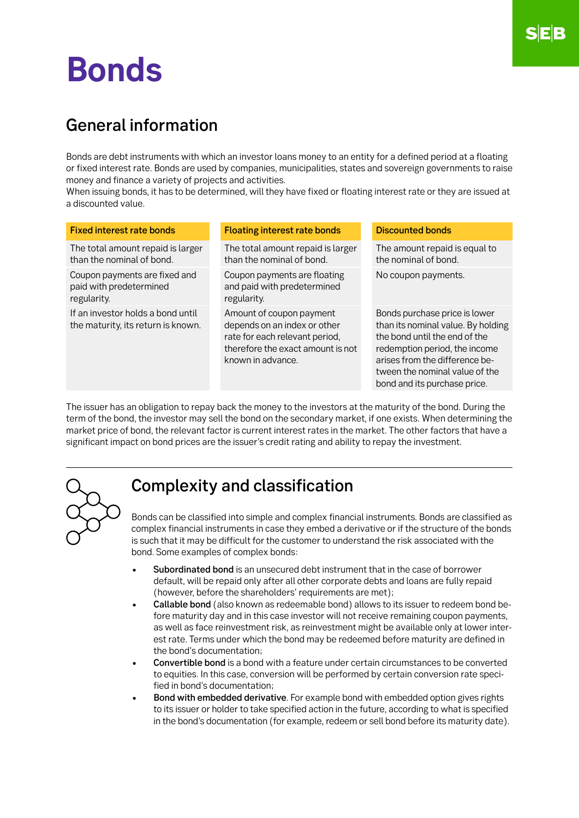# **Bonds**

## General information

Bonds are debt instruments with which an investor loans money to an entity for a defined period at a floating or fixed interest rate. Bonds are used by companies, municipalities, states and sovereign governments to raise money and finance a variety of projects and activities.

When issuing bonds, it has to be determined, will they have fixed or floating interest rate or they are issued at a discounted value.

| <b>Fixed interest rate bonds</b>                                        | <b>Floating interest rate bonds</b>                                                                                                                  | <b>Discounted bonds</b>                                                                                                                                                                                                                   |
|-------------------------------------------------------------------------|------------------------------------------------------------------------------------------------------------------------------------------------------|-------------------------------------------------------------------------------------------------------------------------------------------------------------------------------------------------------------------------------------------|
| The total amount repaid is larger<br>than the nominal of bond.          | The total amount repaid is larger<br>than the nominal of bond.                                                                                       | The amount repaid is equal to<br>the nominal of bond.                                                                                                                                                                                     |
| Coupon payments are fixed and<br>paid with predetermined<br>regularity. | Coupon payments are floating<br>and paid with predetermined<br>regularity.                                                                           | No coupon payments.                                                                                                                                                                                                                       |
| If an investor holds a bond until<br>the maturity, its return is known. | Amount of coupon payment<br>depends on an index or other<br>rate for each relevant period,<br>therefore the exact amount is not<br>known in advance. | Bonds purchase price is lower<br>than its nominal value. By holding<br>the bond until the end of the<br>redemption period, the income<br>arises from the difference be-<br>tween the nominal value of the<br>bond and its purchase price. |

The issuer has an obligation to repay back the money to the investors at the maturity of the bond. During the term of the bond, the investor may sell the bond on the secondary market, if one exists. When determining the market price of bond, the relevant factor is current interest rates in the market. The other factors that have a significant impact on bond prices are the issuer's credit rating and ability to repay the investment.



### Complexity and classification

Bonds can be classified into simple and complex financial instruments. Bonds are classified as complex financial instruments in case they embed a derivative or if the structure of the bonds is such that it may be difficult for the customer to understand the risk associated with the bond. Some examples of complex bonds:

- Subordinated bond is an unsecured debt instrument that in the case of borrower default, will be repaid only after all other corporate debts and loans are fully repaid (however, before the shareholders' requirements are met);
- Callable bond (also known as redeemable bond) allows to its issuer to redeem bond before maturity day and in this case investor will not receive remaining coupon payments, as well as face reinvestment risk, as reinvestment might be available only at lower interest rate. Terms under which the bond may be redeemed before maturity are defined in the bond's documentation;
- Convertible bond is a bond with a feature under certain circumstances to be converted to equities. In this case, conversion will be performed by certain conversion rate specified in bond's documentation;
- Bond with embedded derivative. For example bond with embedded option gives rights to its issuer or holder to take specified action in the future, according to what is specified in the bond's documentation (for example, redeem or sell bond before its maturity date).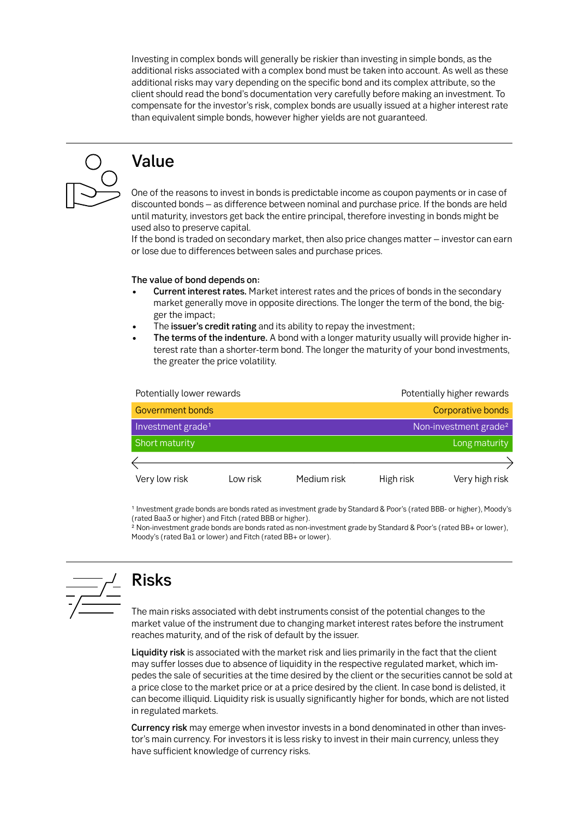Investing in complex bonds will generally be riskier than investing in simple bonds, as the additional risks associated with a complex bond must be taken into account. As well as these additional risks may vary depending on the specific bond and its complex attribute, so the client should read the bond's documentation very carefully before making an investment. To compensate for the investor's risk, complex bonds are usually issued at a higher interest rate than equivalent simple bonds, however higher yields are not guaranteed.



# Value

One of the reasons to invest in bonds is predictable income as coupon payments or in case of discounted bonds – as difference between nominal and purchase price. If the bonds are held until maturity, investors get back the entire principal, therefore investing in bonds might be used also to preserve capital.

If the bond is traded on secondary market, then also price changes matter – investor can earn or lose due to differences between sales and purchase prices.

#### The value of bond depends on:

- Current interest rates. Market interest rates and the prices of bonds in the secondary market generally move in opposite directions. The longer the term of the bond, the bigger the impact;
- The issuer's credit rating and its ability to repay the investment;
- The terms of the indenture. A bond with a longer maturity usually will provide higher interest rate than a shorter-term bond. The longer the maturity of your bond investments, the greater the price volatility.

| Potentially lower rewards     |          |             | Potentially higher rewards |                                   |  |
|-------------------------------|----------|-------------|----------------------------|-----------------------------------|--|
| <b>Government bonds</b>       |          |             | Corporative bonds          |                                   |  |
| Investment grade <sup>1</sup> |          |             |                            | Non-investment grade <sup>2</sup> |  |
| Short maturity                |          |             | Long maturity              |                                   |  |
|                               |          |             |                            |                                   |  |
| Very low risk                 | Low risk | Medium risk | High risk                  | Very high risk                    |  |

1 Investment grade bonds are bonds rated as investment grade by Standard & Poor's (rated BBB- or higher), Moody's (rated Baa3 or higher) and Fitch (rated BBB or higher).

2 Non-investment grade bonds are bonds rated as non-investment grade by Standard & Poor's (rated BB+ or lower), Moody's (rated Ba1 or lower) and Fitch (rated BB+ or lower).



# Risks

The main risks associated with debt instruments consist of the potential changes to the market value of the instrument due to changing market interest rates before the instrument reaches maturity, and of the risk of default by the issuer.

Liquidity risk is associated with the market risk and lies primarily in the fact that the client may suffer losses due to absence of liquidity in the respective regulated market, which impedes the sale of securities at the time desired by the client or the securities cannot be sold at a price close to the market price or at a price desired by the client. In case bond is delisted, it can become illiquid. Liquidity risk is usually significantly higher for bonds, which are not listed in regulated markets.

Currency risk may emerge when investor invests in a bond denominated in other than investor's main currency. For investors it is less risky to invest in their main currency, unless they have sufficient knowledge of currency risks.